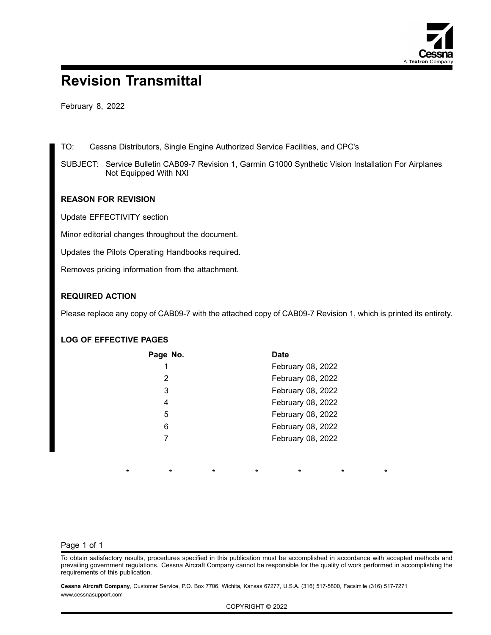

# **Revision Transmittal**

February 8, 2022

TO: Cessna Distributors, Single Engine Authorized Service Facilities, and CPC's

SUBJECT: Service Bulletin CAB09-7 Revision 1, Garmin G1000 Synthetic Vision Installation For Airplanes Not Equipped With NXI

#### **REASON FOR REVISION**

Update EFFECTIVITY section

Minor editorial changes throughout the document.

Updates the Pilots Operating Handbooks required.

Removes pricing information from the attachment.

#### **REQUIRED ACTION**

Please replace any copy of CAB09-7 with the attached copy of CAB09-7 Revision 1, which is printed its entirety.

#### **LOG OF EFFECTIVE PAGES**

\*

| Page No. | Date              |
|----------|-------------------|
|          | February 08, 2022 |
| 2        | February 08, 2022 |
| 3        | February 08, 2022 |
| 4        | February 08, 2022 |
| 5        | February 08, 2022 |
| 6        | February 08, 2022 |
|          | February 08, 2022 |
|          |                   |

\* \* \* \* \* \*

#### Page 1 of 1

To obtain satisfactory results, procedures specified in this publication must be accomplished in accordance with accepted methods and prevailing government regulations. Cessna Aircraft Company cannot be responsible for the quality of work performed in accomplishing the requirements of this publication.

**Cessna Aircraft Company**, Customer Service, P.O. Box 7706, Wichita, Kansas 67277, U.S.A. (316) 517-5800, Facsimile (316) 517-7271 www.cessnasupport.com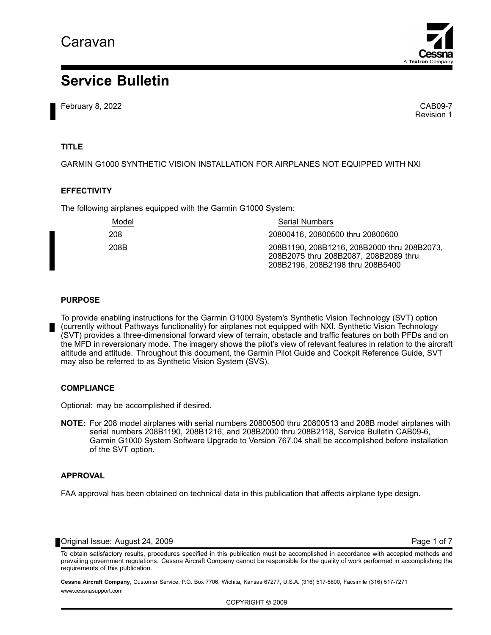# **Service Bulletin**

February 8, 2022 CAB09-7

Revision 1

#### **TITLE**

GARMIN G1000 SYNTHETIC VISION INSTALLATION FOR AIRPLANES NOT EQUIPPED WITH NXI

#### **EFFECTIVITY**

The following airplanes equipped with the Garmin G1000 System:

| Model | <b>Serial Numbers</b>                                                                                                    |
|-------|--------------------------------------------------------------------------------------------------------------------------|
| 208   | 20800416, 20800500 thru 20800600                                                                                         |
| 208B  | 208B1190, 208B1216, 208B2000 thru 208B2073.<br>208B2075 thru 208B2087, 208B2089 thru<br>208B2196, 208B2198 thru 208B5400 |

#### **PURPOSE**

Ш

To provide enabling instructions for the Garmin G1000 System's Synthetic Vision Technology (SVT) option (currently without Pathways functionality) for airplanes not equipped with NXI. Synthetic Vision Technology (SVT) provides <sup>a</sup> three-dimensional forward view of terrain, obstacle and traffic features on both PFDs and on the MFD in reversionary mode. The imagery shows the pilot's view of relevant features in relation to the aircraft altitude and attitude. Throughout this document, the Garmin Pilot Guide and Cockpit Reference Guide, SVT may also be referred to as Synthetic Vision System (SVS).

#### **COMPLIANCE**

Optional: may be accomplished if desired.

**NOTE:** For 208 model airplanes with serial numbers 20800500 thru 20800513 and 208B model airplanes with serial numbers 208B1190, 208B1216, and 208B2000 thru 208B2118, Service Bulletin CAB09-6, Garmin G1000 System Software Upgrade to Version 767.04 shall be accomplished before installation of the SVT option.

#### **APPROVAL**

FAA approval has been obtained on technical data in this publication that affects airplane type design.

Original Issue: August 24, 2009 Page 1 of [7](#page-10-0)

To obtain satisfactory results, procedures specified in this publication must be accomplished in accordance with accepted methods and prevailing government regulations. Cessna Aircraft Company cannot be responsible for the quality of work performed in accomplishing the requirements of this publication.

**Cessna Aircraft Company**, Customer Service, P.O. Box 7706, Wichita, Kansas 67277, U.S.A. (316) 517-5800, Facsimile (316) 517-7271 www.cessnasupport.com

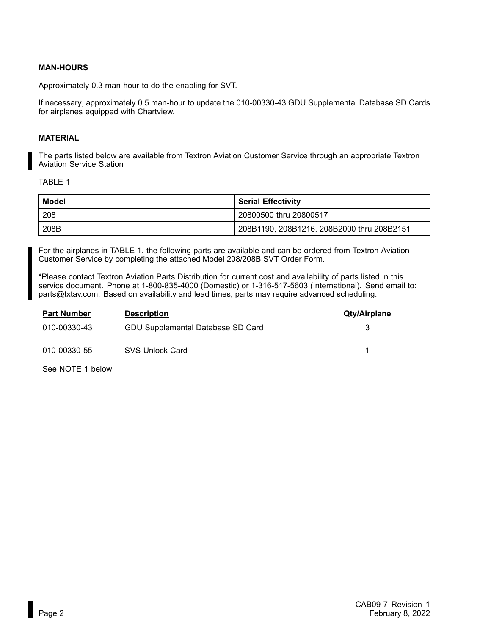#### **MAN-HOURS**

Approximately 0.3 man-hour to do the enabling for SVT.

If necessary, approximately 0.5 man-hour to update the 010-00330-43 GDU Supplemental Database SD Cards for airplanes equipped with Chartview.

#### **MATERIAL**

The parts listed below are available from Textron Aviation Customer Service through an appropriate Textron Aviation Service Station

TABLE 1

| Model | <b>Serial Effectivity</b>                  |
|-------|--------------------------------------------|
| 208   | 20800500 thru 20800517                     |
| 208B  | 208B1190, 208B1216, 208B2000 thru 208B2151 |

For the airplanes in TABLE 1, the following parts are available and can be ordered from Textron Aviation Customer Service by completing the attached Model 208/208B SVT Order Form.

\*Please contact Textron Aviation Parts Distribution for current cost and availability of parts listed in this service document. Phone at 1-800-835-4000 (Domestic) or 1-316-517-5603 (International). Send email to: parts@txtav.com. Based on availability and lead times, parts may require advanced scheduling.

| <b>Part Number</b> | <b>Description</b>                | <b>Qty/Airplane</b> |
|--------------------|-----------------------------------|---------------------|
| 010-00330-43       | GDU Supplemental Database SD Card |                     |
| 010-00330-55       | <b>SVS Unlock Card</b>            |                     |
| See NOTE 1 below   |                                   |                     |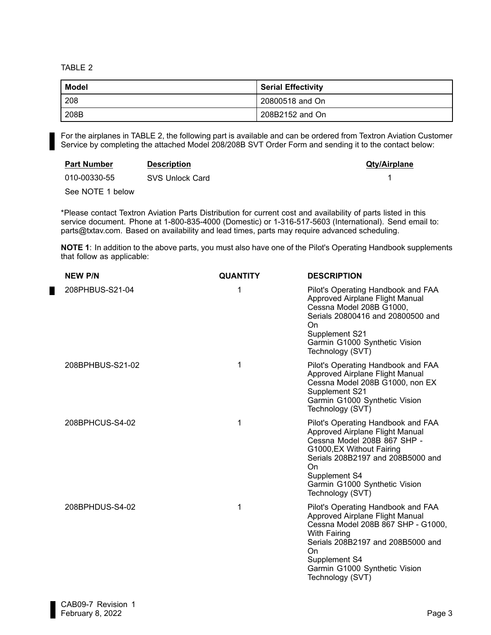TABLE 2

| <b>Model</b> | <b>Serial Effectivity</b> |
|--------------|---------------------------|
| 208          | 20800518 and On           |
| 208B         | 208B2152 and On           |

For the airplanes in TABLE 2, the following part is available and can be ordered from Textron Aviation Customer Service by completing the attached Model 208/208B SVT Order Form and sending it to the contact below:

| <b>Part Number</b> | <b>Description</b> |
|--------------------|--------------------|
|                    |                    |

**Qty/Airplane** 

010-00330-55 SVS Unlock Card 1

See NOTE 1 below

П

\*Please contact Textron Aviation Parts Distribution for current cost and availability of parts listed in this service document. Phone at 1-800-835-4000 (Domestic) or 1-316-517-5603 (International). Send email to: parts@txtav.com. Based on availability and lead times, parts may require advanced scheduling.

**NOTE 1**: In addition to the above parts, you must also have one of the Pilot's Operating Handbook supplements that follow as applicable:

| <b>NEW P/N</b>   | QUANTITY | <b>DESCRIPTION</b>                                                                                                                                                                                                                                 |
|------------------|----------|----------------------------------------------------------------------------------------------------------------------------------------------------------------------------------------------------------------------------------------------------|
| 208PHBUS-S21-04  | 1        | Pilot's Operating Handbook and FAA<br>Approved Airplane Flight Manual<br>Cessna Model 208B G1000,<br>Serials 20800416 and 20800500 and<br>On<br>Supplement S21<br>Garmin G1000 Synthetic Vision<br>Technology (SVT)                                |
| 208BPHBUS-S21-02 | 1        | Pilot's Operating Handbook and FAA<br>Approved Airplane Flight Manual<br>Cessna Model 208B G1000, non EX<br>Supplement S21<br>Garmin G1000 Synthetic Vision<br>Technology (SVT)                                                                    |
| 208BPHCUS-S4-02  | 1        | Pilot's Operating Handbook and FAA<br>Approved Airplane Flight Manual<br>Cessna Model 208B 867 SHP -<br>G1000, EX Without Fairing<br>Serials 208B2197 and 208B5000 and<br>On<br>Supplement S4<br>Garmin G1000 Synthetic Vision<br>Technology (SVT) |
| 208BPHDUS-S4-02  | 1        | Pilot's Operating Handbook and FAA<br>Approved Airplane Flight Manual<br>Cessna Model 208B 867 SHP - G1000,<br>With Fairing<br>Serials 208B2197 and 208B5000 and<br>On<br>Supplement S4<br>Garmin G1000 Synthetic Vision<br>Technology (SVT)       |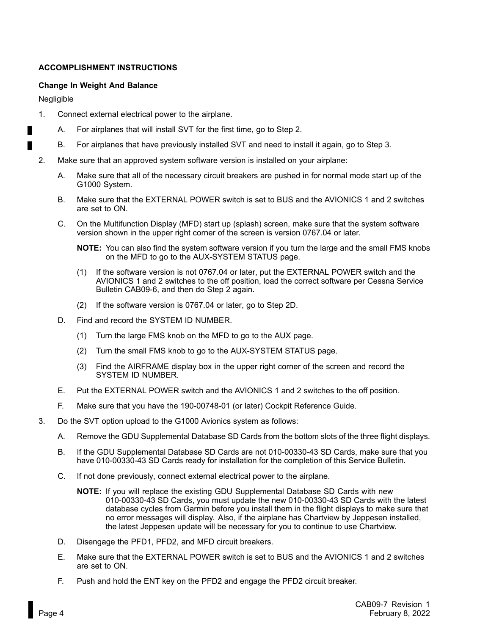#### **ACCOMPLISHMENT INSTRUCTIONS**

#### **Change In Weight And Balance**

#### Negligible

- 1. Connect external electrical power to the airplane.
	- A. For airplanes that will install SVT for the first time, go to Step 2.
	- B. For airplanes that have previously installed SVT and need to install it again, go to Step 3.
- 2. Make sure that an approved system software version is installed on your airplane:
	- A. Make sure that all of the necessary circuit breakers are pushed in for normal mode start up of the G1000 System.
	- B. Make sure that the EXTERNAL POWER switch is set to BUS and the AVIONICS 1 and 2 switches are set to ON.
	- C. On the Multifunction Display (MFD) start up (splash) screen, make sure that the system software version shown in the upper right corner of the screen is version 0767.04 or later.
		- **NOTE:** You can also find the system software version if you turn the large and the small FMS knobs on the MFD to go to the AUX-SYSTEM STATUS page.
		- (1) If the software version is not 0767.04 or later, put the EXTERNAL POWER switch and the AVIONICS 1 and 2 switches to the off position, load the correct software per Cessna Service Bulletin CAB09-6, and then do Step 2 again.
		- (2) If the software version is 0767.04 or later, go to Step 2D.
	- D. Find and record the SYSTEM ID NUMBER.
		- (1) Turn the large FMS knob on the MFD to go to the AUX page.
		- (2) Turn the small FMS knob to go to the AUX-SYSTEM STATUS page.
		- (3) Find the AIRFRAME display box in the upper right corner of the screen and record the SYSTEM ID NUMBER.
	- E. Put the EXTERNAL POWER switch and the AVIONICS 1 and 2 switches to the off position.
	- F. Make sure that you have the 190-00748-01 (or later) Cockpit Reference Guide.
- 3. Do the SVT option upload to the G1000 Avionics system as follows:
	- A. Remove the GDU Supplemental Database SD Cards from the bottom slots of the three flight displays.
	- B. If the GDU Supplemental Database SD Cards are not 010-00330-43 SD Cards, make sure that you have 010-00330-43 SD Cards ready for installation for the completion of this Service Bulletin.
	- C. If not done previously, connect external electrical power to the airplane.
		- **NOTE:** If you will replace the existing GDU Supplemental Database SD Cards with new 010-00330-43 SD Cards, you must update the new 010-00330-43 SD Cards with the latest database cycles from Garmin before you install them in the flight displays to make sure that no error messages will display. Also, if the airplane has Chartview by Jeppesen installed, the latest Jeppesen update will be necessary for you to continue to use Chartview.
	- D. Disengage the PFD1, PFD2, and MFD circuit breakers.
	- E. Make sure that the EXTERNAL POWER switch is set to BUS and the AVIONICS 1 and 2 switches are set to ON.
	- F. Push and hold the ENT key on the PFD2 and engage the PFD2 circuit breaker.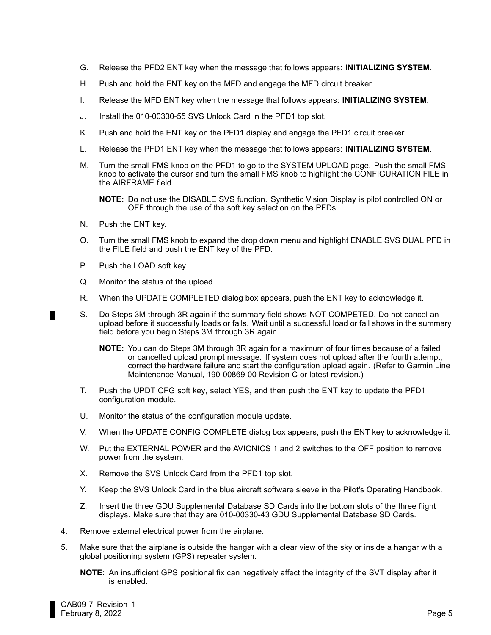- G. Release the PFD2 ENT key when the message that follows appears: **INITIALIZING SYSTEM**.
- H. Push and hold the ENT key on the MFD and engage the MFD circuit breaker.
- I. Release the MFD ENT key when the message that follows appears: **INITIALIZING SYSTEM**.
- J. Install the 010-00330-55 SVS Unlock Card in the PFD1 top slot.
- K. Push and hold the ENT key on the PFD1 display and engage the PFD1 circuit breaker.
- L. Release the PFD1 ENT key when the message that follows appears: **INITIALIZING SYSTEM**.
- M. Turn the small FMS knob on the PFD1 to go to the SYSTEM UPLOAD page. Push the small FMS knob to activate the cursor and turn the small FMS knob to highlight the CONFIGURATION FILE in the AIRFRAME field.

**NOTE:** Do not use the DISABLE SVS function. Synthetic Vision Display is pilot controlled ON or OFF through the use of the soft key selection on the PFDs.

- N. Push the ENT key.
- O. Turn the small FMS knob to expand the drop down menu and highlight ENABLE SVS DUAL PFD in the FILE field and push the ENT key of the PFD.
- P. Push the LOAD soft key.
- Q. Monitor the status of the upload.
- R. When the UPDATE COMPLETED dialog box appears, push the ENT key to acknowledge it.
- S. Do Steps 3M through 3R again if the summary field shows NOT COMPETED. Do not cancel an upload before it successfully loads or fails. Wait until <sup>a</sup> successful load or fail shows in the summary field before you begin Steps 3M through 3R again.
	- **NOTE:** You can do Steps 3M through 3R again for <sup>a</sup> maximum of four times because of <sup>a</sup> failed or cancelled upload prompt message. If system does not upload after the fourth attempt, correct the hardware failure and start the configuration upload again. (Refer to Garmin Line Maintenance Manual, 190-00869-00 Revision C or latest revision.)
- T. Push the UPDT CFG soft key, select YES, and then push the ENT key to update the PFD1 configuration module.
- U. Monitor the status of the configuration module update.
- V. When the UPDATE CONFIG COMPLETE dialog box appears, push the ENT key to acknowledge it.
- W. Put the EXTERNAL POWER and the AVIONICS 1 and 2 switches to the OFF position to remove power from the system.
- X. Remove the SVS Unlock Card from the PFD1 top slot.
- Y. Keep the SVS Unlock Card in the blue aircraft software sleeve in the Pilot's Operating Handbook.
- Z. Insert the three GDU Supplemental Database SD Cards into the bottom slots of the three flight displays. Make sure that they are 010-00330-43 GDU Supplemental Database SD Cards.
- 4. Remove external electrical power from the airplane.
- 5. Make sure that the airplane is outside the hangar with <sup>a</sup> clear view of the sky or inside <sup>a</sup> hangar with <sup>a</sup> global positioning system (GPS) repeater system.

**NOTE:** An insufficient GPS positional fix can negatively affect the integrity of the SVT display after it is enabled.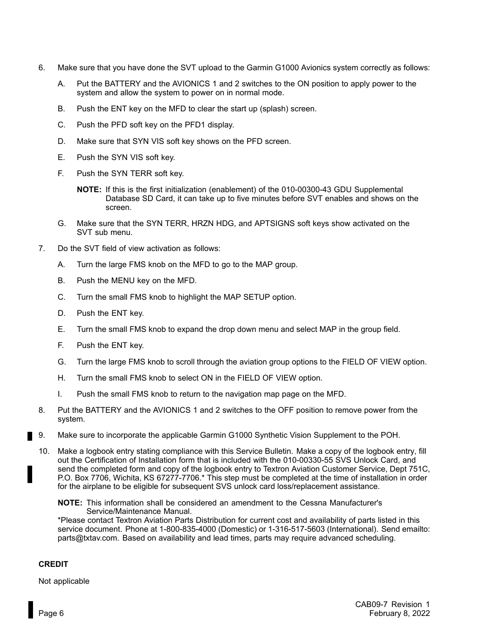- 6. Make sure that you have done the SVT upload to the Garmin G1000 Avionics system correctly as follows:
	- A. Put the BATTERY and the AVIONICS 1 and 2 switches to the ON position to apply power to the system and allow the system to power on in normal mode.
	- B. Push the ENT key on the MFD to clear the start up (splash) screen.
	- C. Push the PFD soft key on the PFD1 display.
	- D. Make sure that SYN VIS soft key shows on the PFD screen.
	- E. Push the SYN VIS soft key.
	- F. Push the SYN TERR soft key.
		- **NOTE:** If this is the first initialization (enablement) of the 010-00300-43 GDU Supplemental Database SD Card, it can take up to five minutes before SVT enables and shows on the screen.
	- G. Make sure that the SYN TERR, HRZN HDG, and APTSIGNS soft keys show activated on the SVT sub menu.
- 7. Do the SVT field of view activation as follows:
	- A. Turn the large FMS knob on the MFD to go to the MAP group.
	- B. Push the MENU key on the MFD.
	- C. Turn the small FMS knob to highlight the MAP SETUP option.
	- D. Push the ENT key.
	- E. Turn the small FMS knob to expand the drop down menu and select MAP in the group field.
	- F. Push the ENT key.
	- G. Turn the large FMS knob to scroll through the aviation group options to the FIELD OF VIEW option.
	- H. Turn the small FMS knob to select ON in the FIELD OF VIEW option.
	- I. Push the small FMS knob to return to the navigation map page on the MFD.
- 8. Put the BATTERY and the AVIONICS 1 and 2 switches to the OFF position to remove power from the system.
- 9. Make sure to incorporate the applicable Garmin G1000 Synthetic Vision Supplement to the POH.
	- 10. Make <sup>a</sup> logbook entry stating compliance with this Service Bulletin. Make <sup>a</sup> copy of the logbook entry, fill out the Certification of Installation form that is included with the 010-00330-55 SVS Unlock Card, and send the completed form and copy of the logbook entry to Textron Aviation Customer Service, Dept 751C, P.O. Box 7706, Wichita, KS 67277-7706.\* This step must be completed at the time of installation in order for the airplane to be eligible for subsequent SVS unlock card loss/replacement assistance.
		- **NOTE:** This information shall be considered an amendment to the Cessna Manufacturer's Service/Maintenance Manual.

\*Please contact Textron Aviation Parts Distribution for current cost and availability of parts listed in this service document. Phone at 1-800-835-4000 (Domestic) or 1-316-517-5603 (International). Send emailto: parts@txtav.com. Based on availability and lead times, parts may require advanced scheduling.

#### **CREDIT**

Not applicable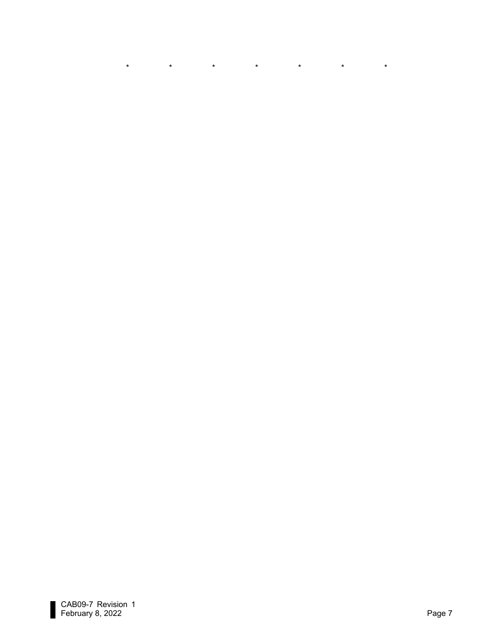\* \* \* \* \* \* \*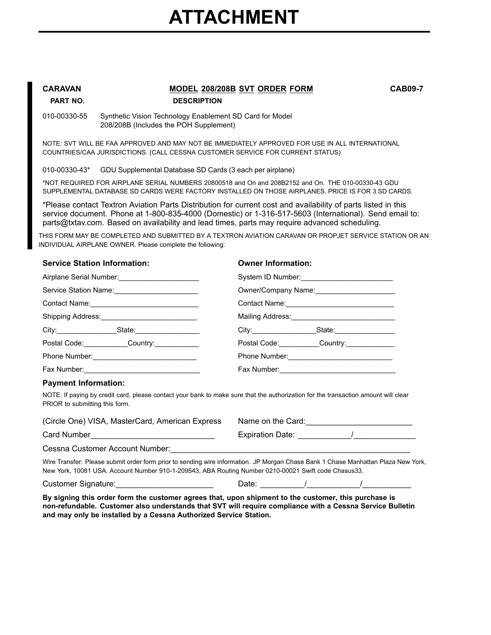# **ATTACHMENT**

**PART NO. DESCRIPTION**

### **CARAVAN MODEL 208/208B SVT ORDER FORM CAB09-7**

010-00330-55 Synthetic Vision Technology Enablement SD Card for Model 208/208B (Includes the POH Supplement)

NOTE: SVT WILL BE FAA APPROVED AND MAY NOT BE IMMEDIATELY APPROVED FOR USE IN ALL INTERNATIONAL COUNTRIES/CAA JURISDICTIONS. (CALL CESSNA CUSTOMER SERVICE FOR CURRENT STATUS)

010-00330-43\* GDU Supplemental Database SD Cards (3 each per airplane)

\*NOT REQUIRED FOR AIRPLANE SERIAL NUMBERS 20800518 and On and 208B2152 and On. THE 010-00330-43 GDU SUPPLEMENTAL DATABASE SD CARDS WERE FACTORY INSTALLED ON THOSE AIRPLANES. PRICE IS FOR 3 SD CARDS.

\*Please contact Textron Aviation Parts Distribution for current cost and availability of parts listed in this service document. Phone at 1-800-835-4000 (Domestic) or 1-316-517-5603 (International). Send email to: parts@txtav.com. Based on availability and lead times, parts may require advanced scheduling.

THIS FORM MAY BE COMPLETED AND SUBMITTED BY A TEXTRON AVIATION CARAVAN OR PROPJET SERVICE STATION OR AN INDIVIDUAL AIRPLANE OWNER. Please complete the following:

| <b>Service Station Information:</b>                   | <b>Owner Information:</b>                                |
|-------------------------------------------------------|----------------------------------------------------------|
| Airplane Serial Number:<br><u> and Communications</u> | System ID Number: ____________________________           |
| Service Station Name: 1997                            | Owner/Company Name:<br><u>[</u> [11] Dwner/Company Name: |
|                                                       |                                                          |
|                                                       |                                                          |
|                                                       |                                                          |
| Postal Code: Country:                                 | Postal Code: Country:                                    |
|                                                       |                                                          |
|                                                       |                                                          |
| <b>Payment Information:</b>                           |                                                          |

NOTE: If paying by credit card, please contact your bank to make sure that the authorization for the transaction amount will clear PRIOR to submitting this form.

| (Circle One) VISA, MasterCard, American Express | Name on the Card:       |
|-------------------------------------------------|-------------------------|
| <b>Card Number</b>                              | <b>Expiration Date:</b> |
| Cessna Customer Account Number:                 |                         |

Wire Transfer: Please submit order form prior to sending wire information. JP Morgan Chase Bank 1 Chase Manhattan Plaza New York, New York, 10081 USA. Account Number 910-1-209543, ABA Routing Number 0210-00021 Swift code Chasus33.

Customer Signature: etc. All and the Date:  $\Box$ 

**By signing this order form the customer agrees that, upon shipment to the customer, this purchase is non-refundable. Customer also understands that SVT will require compliance with <sup>a</sup> Cessna Service Bulletin and may only be installed by <sup>a</sup> Cessna Authorized Service Station.**